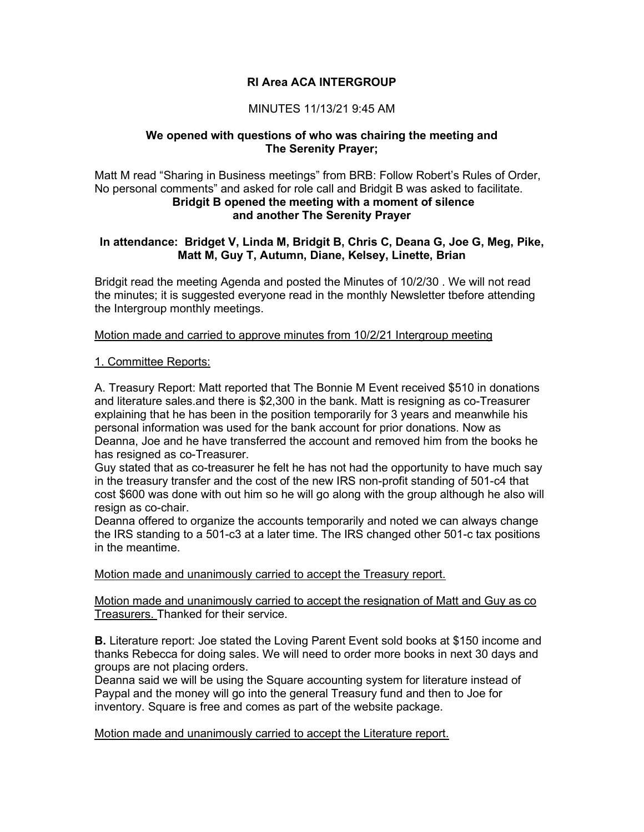# **RI Area ACA INTERGROUP**

# MINUTES 11/13/21 9:45 AM

### **We opened with questions of who was chairing the meeting and The Serenity Prayer;**

Matt M read "Sharing in Business meetings" from BRB: Follow Robert's Rules of Order, No personal comments" and asked for role call and Bridgit B was asked to facilitate. **Bridgit B opened the meeting with a moment of silence and another The Serenity Prayer**

### **In attendance: Bridget V, Linda M, Bridgit B, Chris C, Deana G, Joe G, Meg, Pike, Matt M, Guy T, Autumn, Diane, Kelsey, Linette, Brian**

Bridgit read the meeting Agenda and posted the Minutes of 10/2/30 . We will not read the minutes; it is suggested everyone read in the monthly Newsletter tbefore attending the Intergroup monthly meetings.

### Motion made and carried to approve minutes from 10/2/21 Intergroup meeting

### 1. Committee Reports:

A. Treasury Report: Matt reported that The Bonnie M Event received \$510 in donations and literature sales.and there is \$2,300 in the bank. Matt is resigning as co-Treasurer explaining that he has been in the position temporarily for 3 years and meanwhile his personal information was used for the bank account for prior donations. Now as Deanna, Joe and he have transferred the account and removed him from the books he has resigned as co-Treasurer.

Guy stated that as co-treasurer he felt he has not had the opportunity to have much say in the treasury transfer and the cost of the new IRS non-profit standing of 501-c4 that cost \$600 was done with out him so he will go along with the group although he also will resign as co-chair.

Deanna offered to organize the accounts temporarily and noted we can always change the IRS standing to a 501-c3 at a later time. The IRS changed other 501-c tax positions in the meantime.

### Motion made and unanimously carried to accept the Treasury report.

Motion made and unanimously carried to accept the resignation of Matt and Guy as co Treasurers. Thanked for their service.

**B.** Literature report: Joe stated the Loving Parent Event sold books at \$150 income and thanks Rebecca for doing sales. We will need to order more books in next 30 days and groups are not placing orders.

Deanna said we will be using the Square accounting system for literature instead of Paypal and the money will go into the general Treasury fund and then to Joe for inventory. Square is free and comes as part of the website package.

### Motion made and unanimously carried to accept the Literature report.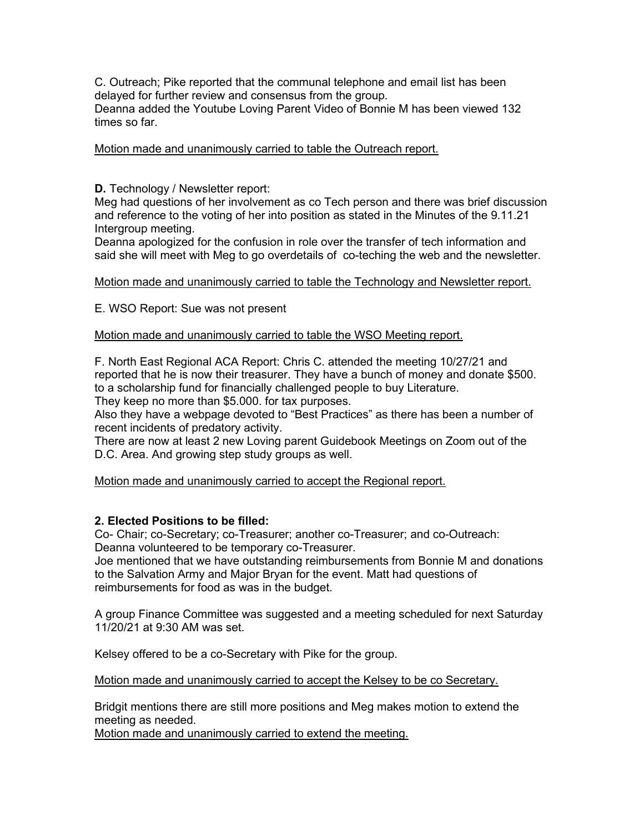C. Outreach; Pike reported that the communal telephone and email list has been delayed for further review and consensus from the group. Deanna added the Youtube Loving Parent Video of Bonnie M has been viewed 132

Motion made and unanimously carried to table the Outreach report.

# **D.** Technology / Newsletter report:

times so far.

Meg had questions of her involvement as co Tech person and there was brief discussion and reference to the voting of her into position as stated in the Minutes of the 9.11.21 Intergroup meeting.

Deanna apologized for the confusion in role over the transfer of tech information and said she will meet with Meg to go overdetails of co-teching the web and the newsletter.

### Motion made and unanimously carried to table the Technology and Newsletter report.

E. WSO Report: Sue was not present

### Motion made and unanimously carried to table the WSO Meeting report.

F. North East Regional ACA Report: Chris C. attended the meeting 10/27/21 and reported that he is now their treasurer. They have a bunch of money and donate \$500. to a scholarship fund for financially challenged people to buy Literature.

They keep no more than \$5.000. for tax purposes.

Also they have a webpage devoted to "Best Practices" as there has been a number of recent incidents of predatory activity.

There are now at least 2 new Loving parent Guidebook Meetings on Zoom out of the D.C. Area. And growing step study groups as well.

Motion made and unanimously carried to accept the Regional report.

# **2. Elected Positions to be filled:**

Co- Chair; co-Secretary; co-Treasurer; another co-Treasurer; and co-Outreach: Deanna volunteered to be temporary co-Treasurer.

Joe mentioned that we have outstanding reimbursements from Bonnie M and donations to the Salvation Army and Major Bryan for the event. Matt had questions of reimbursements for food as was in the budget.

A group Finance Committee was suggested and a meeting scheduled for next Saturday 11/20/21 at 9:30 AM was set.

Kelsey offered to be a co-Secretary with Pike for the group.

Motion made and unanimously carried to accept the Kelsey to be co Secretary.

Bridgit mentions there are still more positions and Meg makes motion to extend the meeting as needed.

Motion made and unanimously carried to extend the meeting.